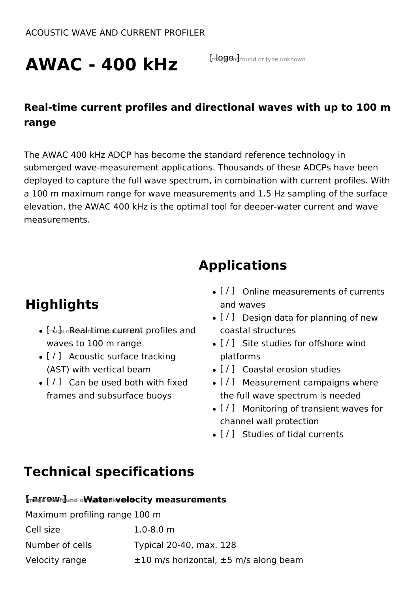# AWAC - 400 kHz **Inlagend found or type unknown**

## **Real-time current profiles and directional waves with up to 100 m range**

The AWAC 400 kHz ADCP has become the standard reference technology in submerged wave-measurement applications. Thousands of these ADCPs have been deployed to capture the full wave spectrum, in combination with current profiles. With a 100 m maximum range for wave measurements and 1.5 Hz sampling of the surface elevation, the AWAC 400 kHz is the optimal tool for deeper-water current and wave measurements.

## **Applications**

## **Highlights**

- . In also note anot immediation to profiles and waves to 100 m range
- [ / ] Acoustic surface tracking (AST) with vertical beam
- $\bullet$  [ / ] Can be used both with fixed frames and subsurface buoys
- $\bullet$  [ / ] Online measurements of currents and waves
- $\bullet$  [ / ] Design data for planning of new coastal structures
- $\bullet$  [ / ] Site studies for offshore wind platforms
- [ / ] Coastal erosion studies
- $\bullet$  [ / ] Measurement campaigns where the full wave spectrum is needed
- [ / ] Monitoring of transient waves for channel wall protection
- [ / ] Studies of tidal currents

## **Technical specifications**

| Inaga DaVfdund oWater Nelocity measurements |                                                 |  |
|---------------------------------------------|-------------------------------------------------|--|
| Maximum profiling range 100 m               |                                                 |  |
| Cell size                                   | $1.0 - 8.0$ m                                   |  |
| Number of cells                             | Typical 20-40, max. 128                         |  |
| Velocity range                              | $\pm 10$ m/s horizontal, $\pm 5$ m/s along beam |  |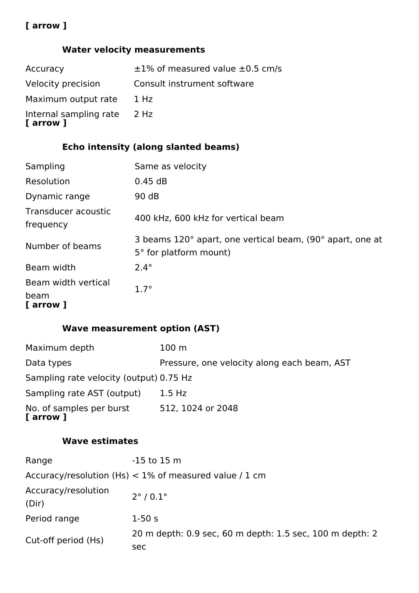## **[ arrow ]**

## **Water velocity measurements**

| Accuracy                            | $\pm 1\%$ of measured value $\pm 0.5$ cm/s |
|-------------------------------------|--------------------------------------------|
| Velocity precision                  | Consult instrument software                |
| Maximum output rate                 | 1 Hz                                       |
| Internal sampling rate<br>[ arrow ] | 2 Hz                                       |

## **Echo intensity (along slanted beams)**

| Sampling                                 | Same as velocity                                                                    |
|------------------------------------------|-------------------------------------------------------------------------------------|
| Resolution                               | 0.45 dB                                                                             |
| Dynamic range                            | 90 dB                                                                               |
| Transducer acoustic<br>frequency         | 400 kHz, 600 kHz for vertical beam                                                  |
| Number of beams                          | 3 beams 120° apart, one vertical beam, (90° apart, one at<br>5° for platform mount) |
| Beam width                               | $2.4^\circ$                                                                         |
| Beam width vertical<br>beam<br>[ arrow ] | $1.7^\circ$                                                                         |

## **Wave measurement option (AST)**

| Maximum depth                           | 100 <sub>m</sub>                            |
|-----------------------------------------|---------------------------------------------|
| Data types                              | Pressure, one velocity along each beam, AST |
| Sampling rate velocity (output) 0.75 Hz |                                             |
| Sampling rate AST (output)              | $1.5$ Hz                                    |
| No. of samples per burst<br>[ arrow ]   | 512, 1024 or 2048                           |

## **Wave estimates**

| Range                                                    | $-15$ to 15 m                                            |  |
|----------------------------------------------------------|----------------------------------------------------------|--|
| Accuracy/resolution (Hs) $<$ 1% of measured value / 1 cm |                                                          |  |
| Accuracy/resolution<br>(Dir)                             | $2^{\circ}$ / 0.1 $^{\circ}$                             |  |
| Period range                                             | $1-50s$                                                  |  |
| Cut-off period (Hs)                                      | 20 m depth: 0.9 sec, 60 m depth: 1.5 sec, 100 m depth: 2 |  |
|                                                          | sec                                                      |  |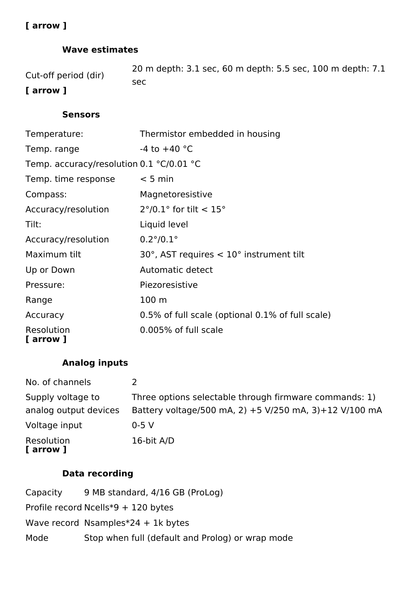## **[ arrow ]**

## **Wave estimates**

| Cut-off period (dir) | 20 m depth: 3.1 sec, 60 m depth: 5.5 sec, 100 m depth: 7.1 |
|----------------------|------------------------------------------------------------|
|                      | sec                                                        |
| <u>[ Awwaiii</u> ]   |                                                            |

### **[ arrow ]**

## **Sensors**

| Temperature:                             | Thermistor embedded in housing                             |
|------------------------------------------|------------------------------------------------------------|
| Temp. range                              | -4 to $+40$ °C                                             |
| Temp. accuracy/resolution 0.1 °C/0.01 °C |                                                            |
| Temp. time response                      | $< 5$ min                                                  |
| Compass:                                 | Magnetoresistive                                           |
| Accuracy/resolution                      | $2^{\circ}/0.1^{\circ}$ for tilt < 15°                     |
| Tilt:                                    | Liquid level                                               |
| Accuracy/resolution                      | $0.2^{\circ}/0.1^{\circ}$                                  |
| Maximum tilt                             | $30^{\circ}$ , AST requires $< 10^{\circ}$ instrument tilt |
| Up or Down                               | Automatic detect                                           |
| Pressure:                                | Piezoresistive                                             |
| Range                                    | 100 <sub>m</sub>                                           |
| Accuracy                                 | 0.5% of full scale (optional 0.1% of full scale)           |
| Resolution<br>[ arrow ]                  | 0.005% of full scale                                       |

## **Analog inputs**

| No. of channels         |                                                        |
|-------------------------|--------------------------------------------------------|
| Supply voltage to       | Three options selectable through firmware commands: 1) |
| analog output devices   | Battery voltage/500 mA, 2) +5 V/250 mA, 3)+12 V/100 mA |
| Voltage input           | $0-5$ V                                                |
| Resolution<br>[ arrow ] | 16-bit A/D                                             |

## **Data recording**

| Capacity | 9 MB standard, 4/16 GB (ProLog)                  |
|----------|--------------------------------------------------|
|          | Profile record Ncells*9 + 120 bytes              |
|          | Wave record Nsamples $*24 + 1k$ bytes            |
| Mode     | Stop when full (default and Prolog) or wrap mode |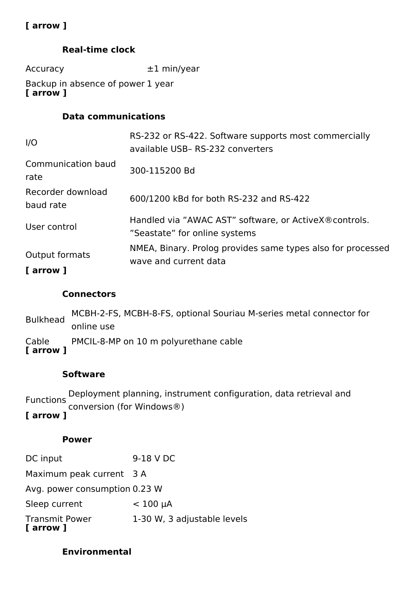## **[ arrow ]**

### **Real-time clock**

Accuracy ±1 min/year

Backup in absence of power 1 year **[ arrow ]**

### **Data communications**

| I/O                            | RS-232 or RS-422. Software supports most commercially<br>available USB- RS-232 converters |
|--------------------------------|-------------------------------------------------------------------------------------------|
| Communication baud<br>rate     | 300-115200 Bd                                                                             |
| Recorder download<br>baud rate | 600/1200 kBd for both RS-232 and RS-422                                                   |
| User control                   | Handled via "AWAC AST" software, or Active X® controls.<br>"Seastate" for online systems  |
| Output formats<br>[ arrow ]    | NMEA, Binary. Prolog provides same types also for processed<br>wave and current data      |

### **Connectors**

Bulkhead MCBH-2-FS, MCBH-8-FS, optional Souriau M-series metal connector for online use Cable PMCIL-8-MP on 10 m polyurethane cable **[ arrow ]**

#### **Software**

Functions Deployment planning, instrument configuration, data retrieval and conversion (for Windows®) **[ arrow ]**

## **Power**

| 1-30 W, 3 adjustable levels   |
|-------------------------------|
| $< 100 \mu A$                 |
| Avg. power consumption 0.23 W |
| Maximum peak current 3 A      |
| 9-18 V DC                     |
|                               |

## **Environmental**